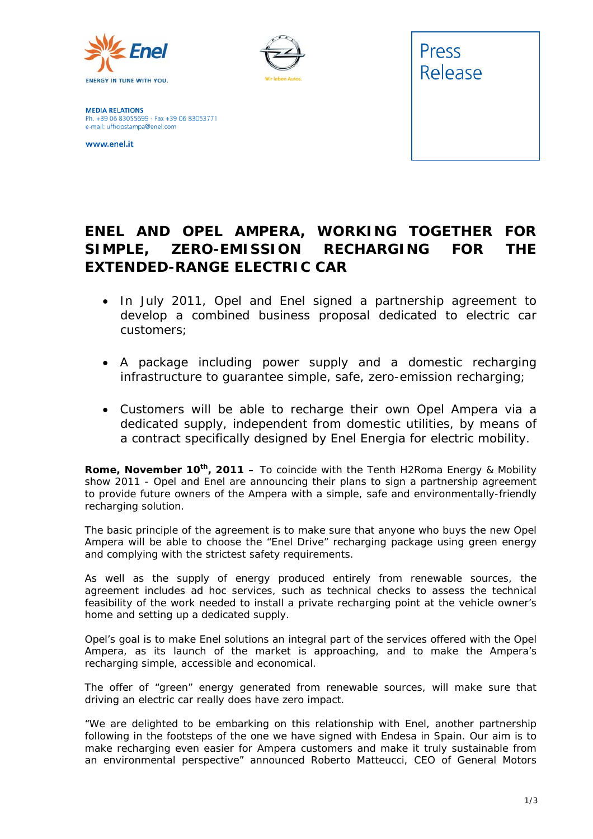



**MEDIA RELATIONS** Ph. +39 06 83055699 - Fax +39 06 83053771 e-mail: ufficiostampa@enel.com

www.enel.it



## **ENEL AND OPEL AMPERA, WORKING TOGETHER FOR SIMPLE, ZERO-EMISSION RECHARGING FOR THE EXTENDED-RANGE ELECTRIC CAR**

- *In July 2011, Opel and Enel signed a partnership agreement to develop a combined business proposal dedicated to electric car customers;*
- *A package including power supply and a domestic recharging infrastructure to guarantee simple, safe, zero-emission recharging;*
- *Customers will be able to recharge their own Opel Ampera via a dedicated supply, independent from domestic utilities, by means of a contract specifically designed by Enel Energia for electric mobility.*

**Rome, November 10<sup>th</sup>, 2011 –** To coincide with the Tenth H2Roma Energy & Mobility show 2011 - Opel and Enel are announcing their plans to sign a partnership agreement to provide future owners of the Ampera with a simple, safe and environmentally-friendly recharging solution.

The basic principle of the agreement is to make sure that anyone who buys the new Opel Ampera will be able to choose the "Enel Drive" recharging package using green energy and complying with the strictest safety requirements.

As well as the supply of energy produced entirely from renewable sources, the agreement includes *ad hoc* services, such as technical checks to assess the technical feasibility of the work needed to install a private recharging point at the vehicle owner's home and setting up a dedicated supply.

Opel's goal is to make Enel solutions an integral part of the services offered with the Opel Ampera, as its launch of the market is approaching, and to make the Ampera's recharging simple, accessible and economical.

The offer of "green" energy generated from renewable sources, will make sure that driving an electric car really does have zero impact.

*"We are delighted to be embarking on this relationship with Enel, another partnership following in the footsteps of the one we have signed with Endesa in Spain. Our aim is to make recharging even easier for Ampera customers and make it truly sustainable from an environmental perspective"* announced Roberto Matteucci, CEO of General Motors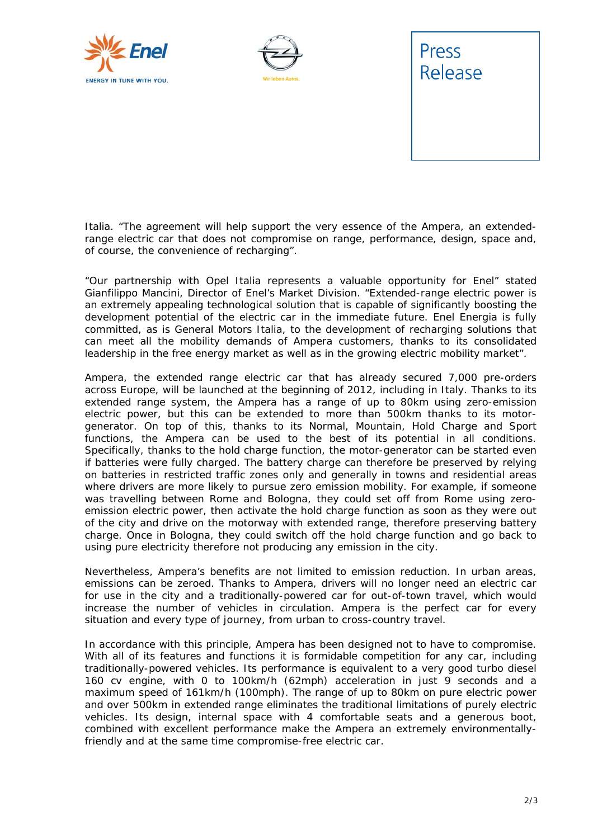





Italia. "*The agreement will help support the very essence of the Ampera, an extendedrange electric car that does not compromise on range, performance, design, space and, of course, the convenience of recharging".* 

*"Our partnership with Opel Italia represents a valuable opportunity for Enel"* stated Gianfilippo Mancini, Director of Enel's Market Division*. "Extended-range electric power is an extremely appealing technological solution that is capable of significantly boosting the development potential of the electric car in the immediate future. Enel Energia is fully committed, as is General Motors Italia, to the development of recharging solutions that can meet all the mobility demands of Ampera customers, thanks to its consolidated leadership in the free energy market as well as in the growing electric mobility market".* 

Ampera, the extended range electric car that has already secured 7,000 pre-orders across Europe, will be launched at the beginning of 2012, including in Italy. Thanks to its extended range system, the Ampera has a range of up to 80km using zero-emission electric power, but this can be extended to more than 500km thanks to its motorgenerator. On top of this, thanks to its Normal, Mountain, Hold Charge and Sport functions, the Ampera can be used to the best of its potential in all conditions. Specifically, thanks to the hold charge function, the motor-generator can be started even if batteries were fully charged. The battery charge can therefore be preserved by relying on batteries in restricted traffic zones only and generally in towns and residential areas where drivers are more likely to pursue zero emission mobility. For example, if someone was travelling between Rome and Bologna, they could set off from Rome using zeroemission electric power, then activate the hold charge function as soon as they were out of the city and drive on the motorway with extended range, therefore preserving battery charge. Once in Bologna, they could switch off the hold charge function and go back to using pure electricity therefore not producing any emission in the city.

Nevertheless, Ampera's benefits are not limited to emission reduction. In urban areas, emissions can be zeroed. Thanks to Ampera, drivers will no longer need an electric car for use in the city and a traditionally-powered car for out-of-town travel, which would increase the number of vehicles in circulation. Ampera is the perfect car for every situation and every type of journey, from urban to cross-country travel.

In accordance with this principle, Ampera has been designed not to have to compromise. With all of its features and functions it is formidable competition for any car, including traditionally-powered vehicles. Its performance is equivalent to a very good turbo diesel 160 cv engine, with 0 to 100km/h (62mph) acceleration in just 9 seconds and a maximum speed of 161km/h (100mph). The range of up to 80km on pure electric power and over 500km in extended range eliminates the traditional limitations of purely electric vehicles. Its design, internal space with 4 comfortable seats and a generous boot, combined with excellent performance make the Ampera an extremely environmentallyfriendly and at the same time compromise-free electric car.